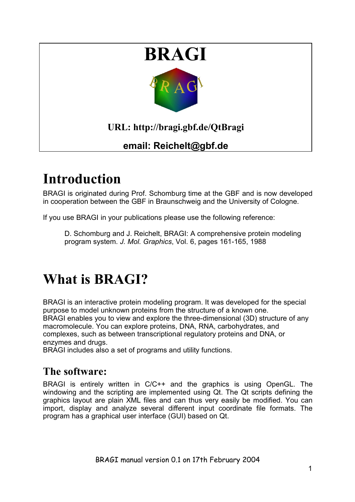

# **Introduction**

BRAGI is originated during Prof. Schomburg time at the GBF and is now developed in cooperation between the GBF in Braunschweig and the University of Cologne.

If you use BRAGI in your publications please use the following reference:

D. Schomburg and J. Reichelt, BRAGI: A comprehensive protein modeling program system. *J. Mol. Graphics*, Vol. 6, pages 161-165, 1988

# **What is BRAGI?**

BRAGI is an interactive protein modeling program. It was developed for the special purpose to model unknown proteins from the structure of a known one. BRAGI enables you to view and explore the three-dimensional (3D) structure of any macromolecule. You can explore proteins, DNA, RNA, carbohydrates, and complexes, such as between transcriptional regulatory proteins and DNA, or enzymes and drugs.

BRAGI includes also a set of programs and utility functions.

## **The software:**

BRAGI is entirely written in C/C++ and the graphics is using OpenGL. The windowing and the scripting are implemented using Qt. The Qt scripts defining the graphics layout are plain XML files and can thus very easily be modified. You can import, display and analyze several different input coordinate file formats. The program has a graphical user interface (GUI) based on Qt.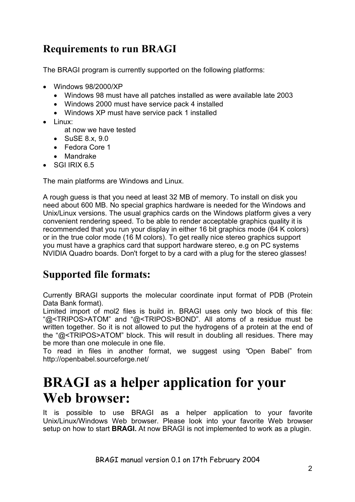# **Requirements to run BRAGI**

The BRAGI program is currently supported on the following platforms:

- Windows 98/2000/XP
	- Windows 98 must have all patches installed as were available late 2003
	- Windows 2000 must have service pack 4 installed
	- Windows XP must have service pack 1 installed
- $\bullet$  linux:

at now we have tested

- SuSE 8.x, 9.0
- Fedora Core 1
- Mandrake
- $\bullet$  SGI IRIX 6.5

The main platforms are Windows and Linux.

A rough guess is that you need at least 32 MB of memory. To install on disk you need about 600 MB. No special graphics hardware is needed for the Windows and Unix/Linux versions. The usual graphics cards on the Windows platform gives a very convenient rendering speed. To be able to render acceptable graphics quality it is recommended that you run your display in either 16 bit graphics mode (64 K colors) or in the true color mode (16 M colors). To get really nice stereo graphics support you must have a graphics card that support hardware stereo, e.g on PC systems NVIDIA Quadro boards. Don't forget to by a card with a plug for the stereo glasses!

# **Supported file formats:**

Currently BRAGI supports the molecular coordinate input format of PDB (Protein Data Bank format).

Limited import of mol2 files is build in. BRAGI uses only two block of this file: "@<TRIPOS>ATOM" and "@<TRIPOS>BOND". All atoms of a residue must be written together. So it is not allowed to put the hydrogens of a protein at the end of the "@<TRIPOS>ATOM" block. This will result in doubling all residues. There may be more than one molecule in one file.

To read in files in another format, we suggest using "Open Babel" from http://openbabel.sourceforge.net/

# **BRAGI as a helper application for your Web browser:**

It is possible to use BRAGI as a helper application to your favorite Unix/Linux/Windows Web browser. Please look into your favorite Web browser setup on how to start **BRAGI.** At now BRAGI is not implemented to work as a plugin.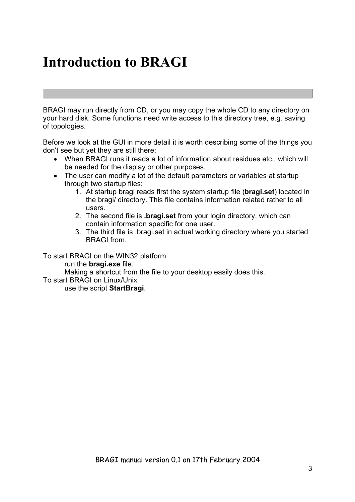# **Introduction to BRAGI**

BRAGI may run directly from CD, or you may copy the whole CD to any directory on your hard disk. Some functions need write access to this directory tree, e.g. saving of topologies.

Before we look at the GUI in more detail it is worth describing some of the things you don't see but yet they are still there:

- When BRAGI runs it reads a lot of information about residues etc., which will be needed for the display or other purposes.
- The user can modify a lot of the default parameters or variables at startup through two startup files:
	- 1. At startup bragi reads first the system startup file (**bragi.set**) located in the bragi/ directory. This file contains information related rather to all users.
	- 2. The second file is **.bragi.set** from your login directory, which can contain information specific for one user.
	- 3. The third file is .bragi.set in actual working directory where you started BRAGI from.

To start BRAGI on the WIN32 platform

run the **bragi.exe** file.

Making a shortcut from the file to your desktop easily does this.

To start BRAGI on Linux/Unix

use the script **StartBragi**.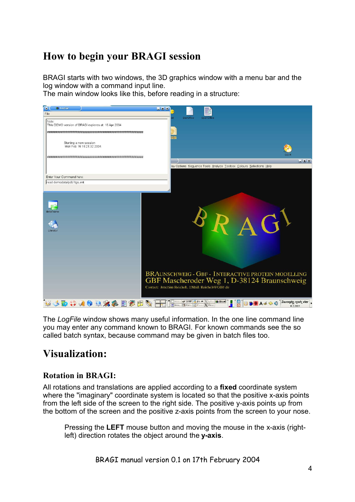# **How to begin your BRAGI session**

BRAGI starts with two windows, the 3D graphics window with a menu bar and the log window with a command input line.

The main window looks like this, before reading in a structure:



The *LogFile* window shows many useful information. In the one line command line you may enter any command known to BRAGI. For known commands see the so called batch syntax, because command may be given in batch files too.

# **Visualization:**

### **Rotation in BRAGI:**

All rotations and translations are applied according to a **fixed** coordinate system where the "imaginary" coordinate system is located so that the positive x-axis points from the left side of the screen to the right side. The positive y-axis points up from the bottom of the screen and the positive z-axis points from the screen to your nose.

Pressing the **LEFT** mouse button and moving the mouse in the x-axis (rightleft) direction rotates the object around the **y-axis**.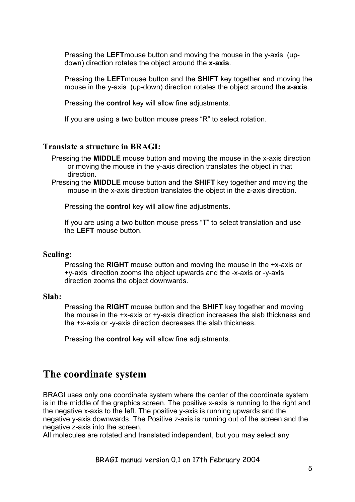Pressing the **LEFT**mouse button and moving the mouse in the y-axis (updown) direction rotates the object around the **x-axis**.

Pressing the **LEFT**mouse button and the **SHIFT** key together and moving the mouse in the y-axis (up-down) direction rotates the object around the **z-axis**.

Pressing the **control** key will allow fine adjustments.

If you are using a two button mouse press "R" to select rotation.

#### **Translate a structure in BRAGI:**

Pressing the **MIDDLE** mouse button and moving the mouse in the x-axis direction or moving the mouse in the y-axis direction translates the object in that direction.

Pressing the **MIDDLE** mouse button and the **SHIFT** key together and moving the mouse in the x-axis direction translates the object in the z-axis direction.

Pressing the **control** key will allow fine adjustments.

If you are using a two button mouse press "T" to select translation and use the **LEFT** mouse button.

#### **Scaling:**

Pressing the **RIGHT** mouse button and moving the mouse in the +x-axis or +y-axis direction zooms the object upwards and the -x-axis or -y-axis direction zooms the object downwards.

#### **Slab:**

Pressing the **RIGHT** mouse button and the **SHIFT** key together and moving the mouse in the +x-axis or +y-axis direction increases the slab thickness and the +x-axis or -y-axis direction decreases the slab thickness.

Pressing the **control** key will allow fine adjustments.

## **The coordinate system**

BRAGI uses only one coordinate system where the center of the coordinate system is in the middle of the graphics screen. The positive x-axis is running to the right and the negative x-axis to the left. The positive y-axis is running upwards and the negative y-axis downwards. The Positive z-axis is running out of the screen and the negative z-axis into the screen.

All molecules are rotated and translated independent, but you may select any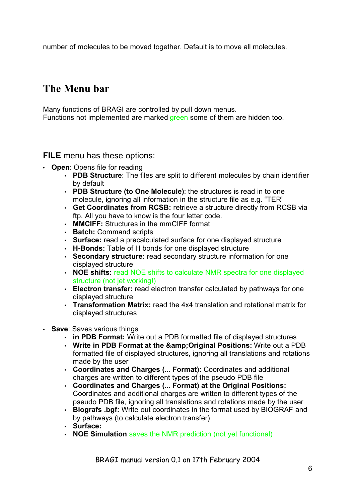number of molecules to be moved together. Default is to move all molecules.

# **The Menu bar**

Many functions of BRAGI are controlled by pull down menus. Functions not implemented are marked green some of them are hidden too.

### **FILE** menu has these options:

- **Open**: Opens file for reading
	- **PDB Structure**: The files are split to different molecules by chain identifier by default
	- **PDB Structure (to One Molecule)**: the structures is read in to one molecule, ignoring all information in the structure file as e.g. "TER"
	- **Get Coordinates from RCSB:** retrieve a structure directly from RCSB via ftp. All you have to know is the four letter code.
	- **MMCIFF:** Structures in the mmCIFF format
	- **Batch:** Command scripts
	- **Surface:** read a precalculated surface for one displayed structure
	- **H-Bonds:** Table of H bonds for one displayed structure
	- **Secondary structure:** read secondary structure information for one displayed structure
	- **NOE shifts:** read NOE shifts to calculate NMR spectra for one displayed structure (not jet working!)
	- **Electron transfer:** read electron transfer calculated by pathways for one displayed structure
	- **Transformation Matrix:** read the 4x4 translation and rotational matrix for displayed structures
- **Save**: Saves various things
	- **in PDB Format:** Write out a PDB formatted file of displayed structures
	- Write in PDB Format at the & Original Positions: Write out a PDB formatted file of displayed structures, ignoring all translations and rotations made by the user
	- **Coordinates and Charges (... Format):** Coordinates and additional charges are written to different types of the pseudo PDB file
	- **Coordinates and Charges (... Format) at the Original Positions:** Coordinates and additional charges are written to different types of the pseudo PDB file, ignoring all translations and rotations made by the user
	- **Biografs .bgf:** Write out coordinates in the format used by BIOGRAF and by pathways (to calculate electron transfer)
	- **Surface:**
	- **NOE Simulation** saves the NMR prediction (not yet functional)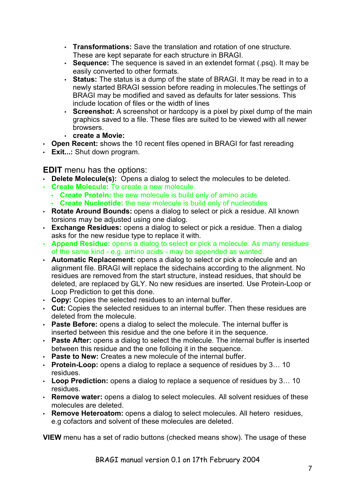- **Transformations:** Save the translation and rotation of one structure. These are kept separate for each structure in BRAGI.
- **Sequence:** The sequence is saved in an extendet format (.psq). It may be easily converted to other formats.
- **Status:** The status is a dump of the state of BRAGI. It may be read in to a newly started BRAGI session before reading in molecules.The settings of BRAGI may be modified and saved as defaults for later sessions. This include location of files or the width of lines
- **Screenshot:** A screenshot or hardcopy is a pixel by pixel dump of the main graphics saved to a file. These files are suited to be viewed with all newer browsers.
- **create a Movie:**
- **Open Recent:** shows the 10 recent files opened in BRAGI for fast rereading
- **Exit...:** Shut down program.

### **EDIT** menu has the options:

- **Delete Molecule(s):** Opens a dialog to select the molecules to be deleted.
- **Create Molecule:** To create a new molecule.
	- **Create Protein:** the new molecule is build only of amino acids
	- **Create Nucleotide:** the new molecule is build only of nucleotides
- **Rotate Around Bounds:** opens a dialog to select or pick a residue. All known torsions may be adjusted using one dialog.
- **Exchange Residues:** opens a dialog to select or pick a residue. Then a dialog asks for the new residue type to replace it with.
- **Append Residue:** opens a dialog to select or pick a molecule. As many residues of the same kind - e.g. amino acids - may be appended as wanted.
- **Automatic Replacement:** opens a dialog to select or pick a molecule and an alignment file. BRAGI will replace the sidechains according to the alignment. No residues are removed from the start structure, instead residues, that should be deleted, are replaced by GLY. No new residues are inserted. Use Protein-Loop or Loop Prediction to get this done.
- **Copy:** Copies the selected residues to an internal buffer.
- **Cut:** Copies the selected residues to an internal buffer. Then these residues are deleted from the molecule.
- **Paste Before:** opens a dialog to select the molecule. The internal buffer is inserted between this residue and the one before it in the sequence.
- **Paste After:** opens a dialog to select the molecule. The internal buffer is inserted between this residue and the one folloing it in the sequence.
- **Paste to New:** Creates a new molecule of the internal buffer.
- **Protein-Loop:** opens a dialog to replace a sequence of residues by 3… 10 residues.
- **Loop Prediction:** opens a dialog to replace a sequence of residues by 3… 10 residues.
- **Remove water:** opens a dialog to select molecules. All solvent residues of these molecules are deleted.
- **Remove Heteroatom:** opens a dialog to select molecules. All hetero residues, e.g cofactors and solvent of these molecules are deleted.

**VIEW** menu has a set of radio buttons (checked means show). The usage of these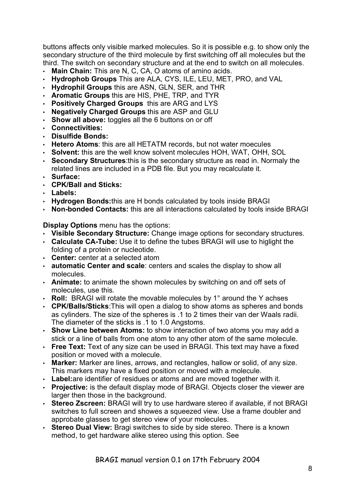buttons affects only visible marked molecules. So it is possible e.g. to show only the secondary structure of the third molecule by first switching off all molecules but the third. The switch on secondary structure and at the end to switch on all molecules.

- **Main Chain:** This are N, C, CA, O atoms of amino acids.
- **Hydrophob Groups** This are ALA, CYS, ILE, LEU, MET, PRO, and VAL
- **Hydrophil Groups** this are ASN, GLN, SER, and THR
- **Aromatic Groups** this are HIS, PHE, TRP, and TYR
- **Positively Charged Groups** this are ARG and LYS
- **Negatively Charged Groups** this are ASP and GLU
- **Show all above:** toggles all the 6 buttons on or off
- **Connectivities:**
- **Disulfide Bonds:**
- **Hetero Atoms**: this are all HETATM records, but not water moecules
- **Solvent:** this are the well know solvent molecules HOH, WAT, OHH, SOL
- **Secondary Structures**:this is the secondary structure as read in. Normaly the related lines are included in a PDB file. But you may recalculate it.
- **Surface:**
- **CPK/Ball and Sticks:**
- **Labels:**
- **Hydrogen Bonds:**this are H bonds calculated by tools inside BRAGI
- **Non-bonded Contacts:** this are all interactions calculated by tools inside BRAGI

**Display Options** menu has the options:

- **Visible Secondary Structure:** Change image options for secondary structures.
- **Calculate CA-Tube:** Use it to define the tubes BRAGI will use to higlight the folding of a protein or nucleotide.
- **Center:** center at a selected atom
- **automatic Center and scale**: centers and scales the display to show all molecules.
- **Animate:** to animate the shown molecules by switching on and off sets of molecules, use this.
- **Roll:** BRAGI will rotate the movable molecules by 1° around the Y achses
- **CPK/Balls/Sticks**:This will open a dialog to show atoms as spheres and bonds as cylinders. The size of the spheres is .1 to 2 times their van der Waals radii. The diameter of the sticks is .1 to 1.0 Angstoms.
- **Show Line between Atoms:** to show interaction of two atoms you may add a stick or a line of balls from one atom to any other atom of the same molecule.
- **Free Text:** Text of any size can be used in BRAGI. This text may have a fixed position or moved with a molecule.
- **Marker:** Marker are lines, arrows, and rectangles, hallow or solid, of any size. This markers may have a fixed position or moved with a molecule.
- **Label:**are identifier of residues or atoms and are moved together with it.
- **Projective:** is the default display mode of BRAGI. Objects closer the viewer are larger then those in the background.
- **Stereo Zscreen:** BRAGI will try to use hardware stereo if available, if not BRAGI switches to full screen and showes a squeezed view. Use a frame doubler and approbate glasses to get stereo view of your molecules.
- **Stereo Dual View:** Bragi switches to side by side stereo. There is a known method, to get hardware alike stereo using this option. See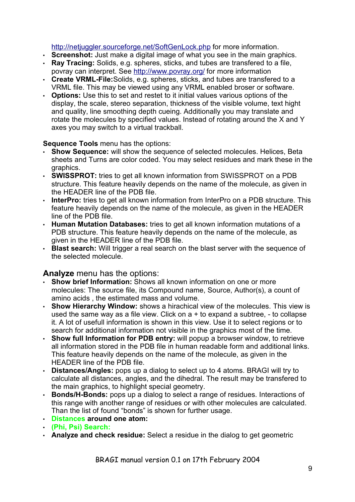http://netjuggler.sourceforge.net/SoftGenLock.php for more information.

- **Screenshot:** Just make a digital image of what you see in the main graphics.
- **Ray Tracing:** Solids, e.g. spheres, sticks, and tubes are transfered to a file, povray can interpret. See http://www.povray.org/ for more information
- **Create VRML-File:**Solids, e.g. spheres, sticks, and tubes are transfered to a VRML file. This may be viewed using any VRML enabled broser or software.
- **Options:** Use this to set and restet to it initial values various options of the display, the scale, stereo separation, thickness of the visible volume, text hight and quality, line smoothing depth cueing. Additionally you may translate and rotate the molecules by specified values. Instead of rotating around the X and Y axes you may switch to a virtual trackball.

#### **Sequence Tools** menu has the options:

- **Show Sequence:** will show the sequence of selected molecules. Helices, Beta sheets and Turns are color coded. You may select residues and mark these in the graphics.
- **SWISSPROT:** tries to get all known information from SWISSPROT on a PDB structure. This feature heavily depends on the name of the molecule, as given in the HEADER line of the PDB file.
- **InterPro:** tries to get all known information from InterPro on a PDB structure. This feature heavily depends on the name of the molecule, as given in the HEADER line of the PDB file.
- **Human Mutation Databases:** tries to get all known information mutations of a PDB structure. This feature heavily depends on the name of the molecule, as given in the HEADER line of the PDB file.
- **Blast search:** Will trigger a real search on the blast server with the sequence of the selected molecule.

### **Analyze** menu has the options:

- **Show brief Information:** Shows all known information on one or more molecules: The source file, its Compound name, Source, Author(s), a count of amino acids , the estimated mass and volume.
- **Show Hierarchy Window:** shows a hirachical view of the molecules. This view is used the same way as a file view. Click on a + to expand a subtree, - to collapse it. A lot of usefull information is shown in this view. Use it to select regions or to search for additional information not visible in the graphics most of the time.
- **Show full Information for PDB entry:** will popup a browser window, to retrieve all information stored in the PDB file in human readable form and additional links. This feature heavily depends on the name of the molecule, as given in the HEADER line of the PDB file.
- **Distances/Angles:** pops up a dialog to select up to 4 atoms. BRAGI will try to calculate all distances, angles, and the dihedral. The result may be transfered to the main graphics, to highlight special geometry.
- **Bonds/H-Bonds:** pops up a dialog to select a range of residues. Interactions of this range with another range of residues or with other molecules are calculated. Than the list of found "bonds" is shown for further usage.
- **Distances around one atom:**
- **(Phi, Psi) Search:**
- **Analyze and check residue:** Select a residue in the dialog to get geometric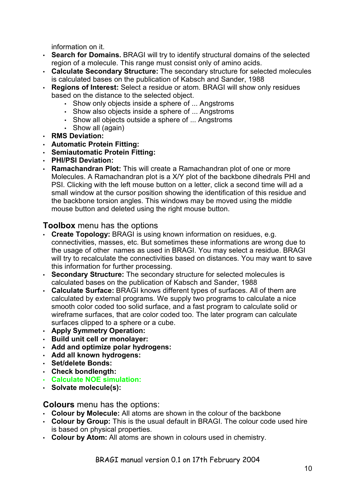information on it.

- **Search for Domains.** BRAGI will try to identify structural domains of the selected region of a molecule. This range must consist only of amino acids.
- **Calculate Secondary Structure:** The secondary structure for selected molecules is calculated bases on the publication of Kabsch and Sander, 1988
- **Regions of Interest:** Select a residue or atom. BRAGI will show only residues based on the distance to the selected object.
	- Show only objects inside a sphere of ... Angstroms
	- Show also objects inside a sphere of ... Angstroms
	- Show all objects outside a sphere of ... Angstroms
	- Show all (again)
- **RMS Deviation:**
- **Automatic Protein Fitting:**
- **Semiautomatic Protein Fitting:**
- **PHI/PSI Deviation:**
- **Ramachandran Plot:** This will create a Ramachandran plot of one or more Molecules. A Ramachandran plot is a X/Y plot of the backbone dihedrals PHI and PSI. Clicking with the left mouse button on a letter, click a second time will ad a small window at the cursor position showing the identification of this residue and the backbone torsion angles. This windows may be moved using the middle mouse button and deleted using the right mouse button.

### **Toolbox** menu has the options

- **Create Topology:** BRAGI is using known information on residues, e.g. connectivities, masses, etc. But sometimes these informations are wrong due to the usage of other names as used in BRAGI. You may select a residue. BRAGI will try to recalculate the connectivities based on distances. You may want to save this information for further processing.
- **Secondary Structure:** The secondary structure for selected molecules is calculated bases on the publication of Kabsch and Sander, 1988
- **Calculate Surface:** BRAGI knows different types of surfaces. All of them are calculated by external programs. We supply two programs to calculate a nice smooth color coded too solid surface, and a fast program to calculate solid or wireframe surfaces, that are color coded too. The later program can calculate surfaces clipped to a sphere or a cube.
- **Apply Symmetry Operation:**
- **Build unit cell or monolayer:**
- **Add and optimize polar hydrogens:**
- **Add all known hydrogens:**
- **Set/delete Bonds:**
- **Check bondlength:**
- **Calculate NOE simulation:**
- **Solvate molecule(s):**

#### **Colours** menu has the options:

- **Colour by Molecule:** All atoms are shown in the colour of the backbone
- **Colour by Group:** This is the usual default in BRAGI. The colour code used hire is based on physical properties.
- **Colour by Atom:** All atoms are shown in colours used in chemistry.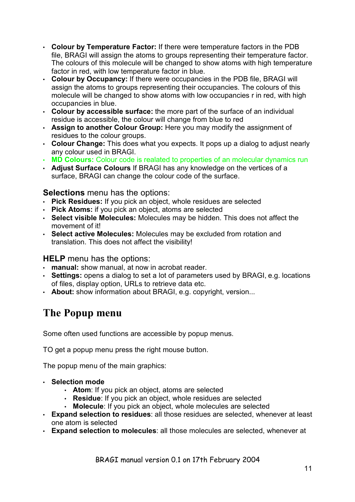- **Colour by Temperature Factor:** If there were temperature factors in the PDB file, BRAGI will assign the atoms to groups representing their temperature factor. The colours of this molecule will be changed to show atoms with high temperature factor in red, with low temperature factor in blue.
- **Colour by Occupancy:** If there were occupancies in the PDB file, BRAGI will assign the atoms to groups representing their occupancies. The colours of this molecule will be changed to show atoms with low occupancies r in red, with high occupancies in blue.
- **Colour by accessible surface:** the more part of the surface of an individual residue is accessible, the colour will change from blue to red
- **Assign to another Colour Group:** Here you may modify the assignment of residues to the colour groups.
- **Colour Change:** This does what you expects. It pops up a dialog to adjust nearly any colour used in BRAGI.
- **MD Colours:** Colour code is realated to properties of an molecular dynamics run
- **Adjust Surface Colours** If BRAGI has any knowledge on the vertices of a surface, BRAGI can change the colour code of the surface.

### **Selections** menu has the options:

- **Pick Residues:** If you pick an object, whole residues are selected
- **Pick Atoms:** if you pick an object, atoms are selected
- **Select visible Molecules:** Molecules may be hidden. This does not affect the movement of it!
- **Select active Molecules:** Molecules may be excluded from rotation and translation. This does not affect the visibility!

### **HELP** menu has the options:

- **manual:** show manual, at now in acrobat reader.
- **Settings:** opens a dialog to set a lot of parameters used by BRAGI, e.g. locations of files, display option, URLs to retrieve data etc.
- **About:** show information about BRAGI, e.g. copyright, version...

# **The Popup menu**

Some often used functions are accessible by popup menus.

TO get a popup menu press the right mouse button.

The popup menu of the main graphics:

- **Selection mode**
	- **Atom**: If you pick an object, atoms are selected
	- **Residue**: If you pick an object, whole residues are selected
	- **Molecule**: If you pick an object, whole molecules are selected
- **Expand selection to residues**: all those residues are selected, whenever at least one atom is selected
- **Expand selection to molecules**: all those molecules are selected, whenever at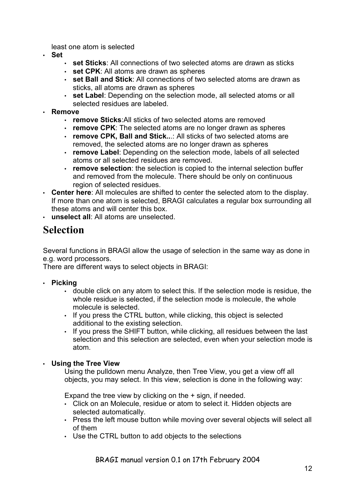least one atom is selected

- **Set**
	- **set Sticks**: All connections of two selected atoms are drawn as sticks
	- **set CPK**: All atoms are drawn as spheres
	- **set Ball and Stick**: All connections of two selected atoms are drawn as sticks, all atoms are drawn as spheres
	- **set Label**: Depending on the selection mode, all selected atoms or all selected residues are labeled.
- **Remove**
	- **remove Sticks**:All sticks of two selected atoms are removed
	- **remove CPK**: The selected atoms are no longer drawn as spheres
	- **remove CPK, Ball and Stick..**.: All sticks of two selected atoms are removed, the selected atoms are no longer drawn as spheres
	- **remove Label**: Depending on the selection mode, labels of all selected atoms or all selected residues are removed.
	- **remove selection**: the selection is copied to the internal selection buffer and removed from the molecule. There should be only on continuous region of selected residues.
- **Center here**: All molecules are shifted to center the selected atom to the display. If more than one atom is selected, BRAGI calculates a regular box surrounding all these atoms and will center this box.
- **unselect all**: All atoms are unselected.

## **Selection**

Several functions in BRAGI allow the usage of selection in the same way as done in e.g. word processors.

There are different ways to select objects in BRAGI:

- **Picking**
	- double click on any atom to select this. If the selection mode is residue, the whole residue is selected, if the selection mode is molecule, the whole molecule is selected.
	- If you press the CTRL button, while clicking, this object is selected additional to the existing selection.
	- If you press the SHIFT button, while clicking, all residues between the last selection and this selection are selected, even when your selection mode is atom.

#### • **Using the Tree View**

Using the pulldown menu Analyze, then Tree View, you get a view off all objects, you may select. In this view, selection is done in the following way:

Expand the tree view by clicking on the + sign, if needed.

- Click on an Molecule, residue or atom to select it. Hidden objects are selected automatically.
- Press the left mouse button while moving over several objects will select all of them
- Use the CTRL button to add objects to the selections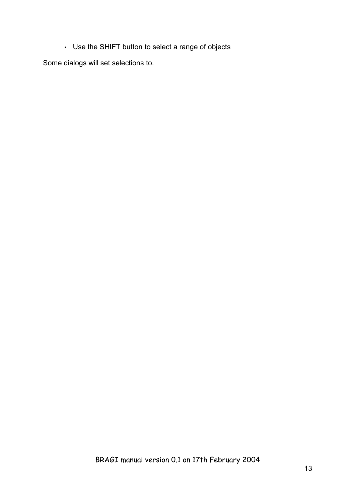• Use the SHIFT button to select a range of objects

Some dialogs will set selections to.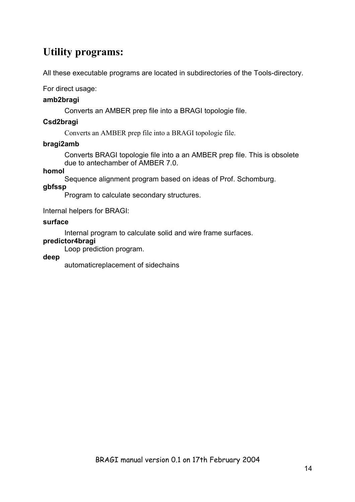# **Utility programs:**

All these executable programs are located in subdirectories of the Tools-directory.

For direct usage:

#### **amb2bragi**

Converts an AMBER prep file into a BRAGI topologie file.

#### **Csd2bragi**

Converts an AMBER prep file into a BRAGI topologie file.

#### **bragi2amb**

Converts BRAGI topologie file into a an AMBER prep file. This is obsolete due to antechamber of AMBER 7.0.

#### **homol**

Sequence alignment program based on ideas of Prof. Schomburg.

#### **gbfssp**

Program to calculate secondary structures.

Internal helpers for BRAGI:

#### **surface**

Internal program to calculate solid and wire frame surfaces.

#### **predictor4bragi**

Loop prediction program.

#### **deep**

automaticreplacement of sidechains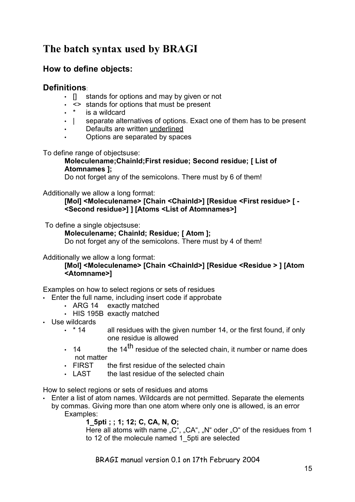# **The batch syntax used by BRAGI**

### **How to define objects:**

### **Definitions**:

- $\Box$  stands for options and may by given or not
- <> stands for options that must be present
- is a wildcard
- | separate alternatives of options. Exact one of them has to be present
- Defaults are written underlined
- Options are separated by spaces

To define range of objectsuse:

#### **Moleculename;ChainId;First residue; Second residue; [ List of Atomnames ];**

Do not forget any of the semicolons. There must by 6 of them!

#### Additionally we allow a long format:

**[Mol] <Moleculename> [Chain <ChainId>] [Residue <First residue> [ - <Second residue>] ] [Atoms <List of Atomnames>]**

To define a single objectsuse:

**Moleculename; ChainId; Residue; [ Atom ];**

Do not forget any of the semicolons. There must by 4 of them!

Additionally we allow a long format:

#### **[Mol] <Moleculename> [Chain <ChainId>] [Residue <Residue > ] [Atom <Atomname>]**

Examples on how to select regions or sets of residues

- Enter the full name, including insert code if approbate
	- ARG 14 exactly matched
	- HIS 195B exactly matched
- Use wildcards
	- $\cdot$  \* 14 all residues with the given number 14, or the first found, if only one residue is allowed
	- 14 the 14<sup>th</sup> residue of the selected chain, it number or name does not matter<br>FIRST t
	- the first residue of the selected chain
	- $\cdot$  LAST the last residue of the selected chain

How to select regions or sets of residues and atoms

• Enter a list of atom names. Wildcards are not permitted. Separate the elements by commas. Giving more than one atom where only one is allowed, is an error Examples:

#### **1\_5pti ; ; 1; 12; C, CA, N, O;**

Here all atoms with name  ${}_{n}C^{n}$ ,  ${}_{n}CA^{n}$ ,  ${}_{n}N^{n}$  oder  ${}_{n}O^{n}$  of the residues from 1 to 12 of the molecule named 1 5pti are selected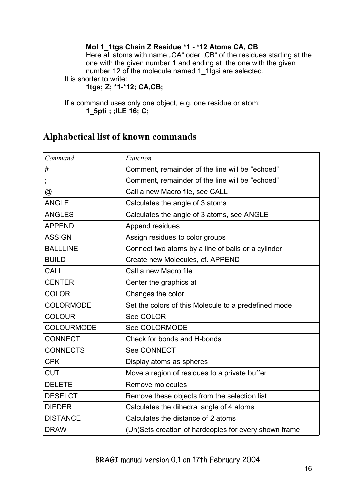### **Mol 1\_1tgs Chain Z Residue \*1 - \*12 Atoms CA, CB**

Here all atoms with name "CA" oder "CB" of the residues starting at the one with the given number 1 and ending at the one with the given number 12 of the molecule named 1\_1tgsi are selected.

It is shorter to write:

**1tgs; Z; \*1-\*12; CA,CB;**

If a command uses only one object, e.g. one residue or atom: **1\_5pti ; ;ILE 16; C;**

### **Alphabetical list of known commands**

| Command           | <b>Function</b>                                       |
|-------------------|-------------------------------------------------------|
| #                 | Comment, remainder of the line will be "echoed"       |
| $\mathbf{r}$      | Comment, remainder of the line will be "echoed"       |
| @                 | Call a new Macro file, see CALL                       |
| <b>ANGLE</b>      | Calculates the angle of 3 atoms                       |
| <b>ANGLES</b>     | Calculates the angle of 3 atoms, see ANGLE            |
| <b>APPEND</b>     | Append residues                                       |
| <b>ASSIGN</b>     | Assign residues to color groups                       |
| <b>BALLLINE</b>   | Connect two atoms by a line of balls or a cylinder    |
| <b>BUILD</b>      | Create new Molecules, cf. APPEND                      |
| <b>CALL</b>       | Call a new Macro file                                 |
| <b>CENTER</b>     | Center the graphics at                                |
| <b>COLOR</b>      | Changes the color                                     |
| <b>COLORMODE</b>  | Set the colors of this Molecule to a predefined mode  |
| <b>COLOUR</b>     | See COLOR                                             |
| <b>COLOURMODE</b> | See COLORMODE                                         |
| <b>CONNECT</b>    | Check for bonds and H-bonds                           |
| <b>CONNECTS</b>   | <b>See CONNECT</b>                                    |
| <b>CPK</b>        | Display atoms as spheres                              |
| <b>CUT</b>        | Move a region of residues to a private buffer         |
| <b>DELETE</b>     | Remove molecules                                      |
| <b>DESELCT</b>    | Remove these objects from the selection list          |
| <b>DIEDER</b>     | Calculates the dihedral angle of 4 atoms              |
| <b>DISTANCE</b>   | Calculates the distance of 2 atoms                    |
| <b>DRAW</b>       | (Un)Sets creation of hardcopies for every shown frame |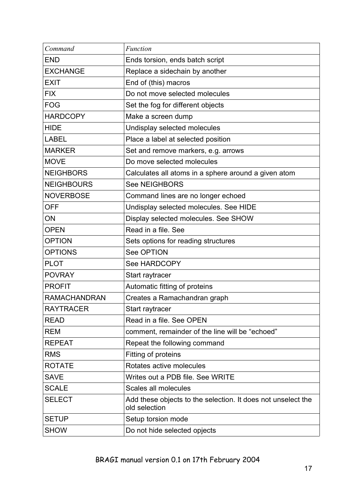| Command             | <b>Function</b>                                                               |  |
|---------------------|-------------------------------------------------------------------------------|--|
| <b>END</b>          | Ends torsion, ends batch script                                               |  |
| <b>EXCHANGE</b>     | Replace a sidechain by another                                                |  |
| <b>EXIT</b>         | End of (this) macros                                                          |  |
| <b>FIX</b>          | Do not move selected molecules                                                |  |
| <b>FOG</b>          | Set the fog for different objects                                             |  |
| <b>HARDCOPY</b>     | Make a screen dump                                                            |  |
| <b>HIDE</b>         | Undisplay selected molecules                                                  |  |
| <b>LABEL</b>        | Place a label at selected position                                            |  |
| <b>MARKER</b>       | Set and remove markers, e.g. arrows                                           |  |
| <b>MOVE</b>         | Do move selected molecules                                                    |  |
| <b>NEIGHBORS</b>    | Calculates all atoms in a sphere around a given atom                          |  |
| <b>NEIGHBOURS</b>   | <b>See NEIGHBORS</b>                                                          |  |
| <b>NOVERBOSE</b>    | Command lines are no longer echoed                                            |  |
| <b>OFF</b>          | Undisplay selected molecules. See HIDE                                        |  |
| ON                  | Display selected molecules. See SHOW                                          |  |
| <b>OPEN</b>         | Read in a file. See                                                           |  |
| <b>OPTION</b>       | Sets options for reading structures                                           |  |
| <b>OPTIONS</b>      | See OPTION                                                                    |  |
| <b>PLOT</b>         | <b>See HARDCOPY</b>                                                           |  |
| <b>POVRAY</b>       | Start raytracer                                                               |  |
| <b>PROFIT</b>       | Automatic fitting of proteins                                                 |  |
| <b>RAMACHANDRAN</b> | Creates a Ramachandran graph                                                  |  |
| <b>RAYTRACER</b>    | Start raytracer                                                               |  |
| <b>READ</b>         | Read in a file. See OPEN                                                      |  |
| <b>REM</b>          | comment, remainder of the line will be "echoed"                               |  |
| <b>REPEAT</b>       | Repeat the following command                                                  |  |
| <b>RMS</b>          | Fitting of proteins                                                           |  |
| <b>ROTATE</b>       | Rotates active molecules                                                      |  |
| <b>SAVE</b>         | Writes out a PDB file. See WRITE                                              |  |
| <b>SCALE</b>        | Scales all molecules                                                          |  |
| <b>SELECT</b>       | Add these objects to the selection. It does not unselect the<br>old selection |  |
| <b>SETUP</b>        | Setup torsion mode                                                            |  |
| <b>SHOW</b>         | Do not hide selected opjects                                                  |  |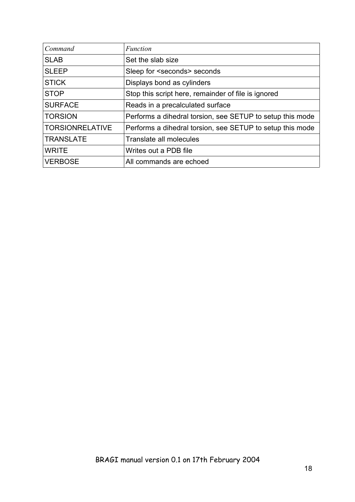| Command                | Function                                                  |
|------------------------|-----------------------------------------------------------|
| <b>SLAB</b>            | Set the slab size                                         |
| <b>SLEEP</b>           | Sleep for <seconds> seconds</seconds>                     |
| <b>STICK</b>           | Displays bond as cylinders                                |
| <b>STOP</b>            | Stop this script here, remainder of file is ignored       |
| <b>SURFACE</b>         | Reads in a precalculated surface                          |
| <b>TORSION</b>         | Performs a dihedral torsion, see SETUP to setup this mode |
| <b>TORSIONRELATIVE</b> | Performs a dihedral torsion, see SETUP to setup this mode |
| <b>TRANSLATE</b>       | Translate all molecules                                   |
| <b>WRITE</b>           | Writes out a PDB file                                     |
| <b>VERBOSE</b>         | All commands are echoed                                   |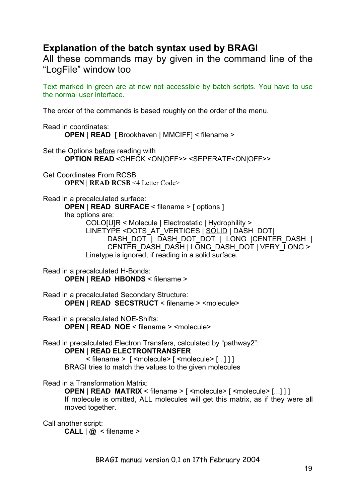## **Explanation of the batch syntax used by BRAGI**

All these commands may by given in the command line of the "LogFile" window too

Text marked in green are at now not accessible by batch scripts. You have to use the normal user interface.

The order of the commands is based roughly on the order of the menu.

Read in coordinates: **OPEN** | **READ** [ Brookhaven | MMCIFF] < filename >

Set the Options before reading with **OPTION READ** <CHECK <ON|OFF>> <SEPERATE<ON|OFF>>

Get Coordinates From RCSB **OPEN | READ RCSB** <4 Letter Code>

Read in a precalculated surface:

**OPEN** | **READ SURFACE** < filename > [ options ] the options are:

COLO[U]R < Molecule | Electrostatic | Hydrophility > LINETYPE <DOTS\_AT\_VERTICES | SOLID | DASH DOT| DASH\_DOT | DASH\_DOT\_DOT | LONG |CENTER\_DASH | CENTER\_DASH\_DASH | LONG\_DASH\_DOT | VERY\_LONG > Linetype is ignored, if reading in a solid surface.

Read in a precalculated H-Bonds: **OPEN** | **READ HBONDS** < filename >

Read in a precalculated Secondary Structure: **OPEN** | **READ SECSTRUCT** < filename > <molecule>

Read in a precalculated NOE-Shifts: **OPEN** | **READ NOE** < filename > <molecule>

Read in precalculated Electron Transfers, calculated by "pathway2":

**OPEN** | **READ ELECTRONTRANSFER**

< filename > [ <molecule> [ <molecule> [...] ] ] BRAGI tries to match the values to the given molecules

Read in a Transformation Matrix:

**OPEN** | **READ MATRIX** < filename > [ <molecule> [ <molecule> [...] ] ] If molecule is omitted, ALL molecules will get this matrix, as if they were all moved together.

Call another script:

**CALL**  $\omega$  < filename >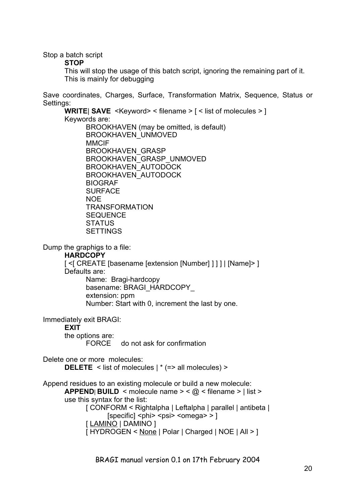Stop a batch script

**STOP**

This will stop the usage of this batch script, ignoring the remaining part of it. This is mainly for debugging

Save coordinates, Charges, Surface, Transformation Matrix, Sequence, Status or Settings:

**WRITE**| **SAVE** <Keyword> < filename > [ < list of molecules > ] Keywords are: BROOKHAVEN (may be omitted, is default) BROOKHAVEN\_UNMOVED **MMCIF** BROOKHAVEN\_GRASP BROOKHAVEN\_GRASP\_UNMOVED BROOKHAVEN\_AUTODOCK BROOKHAVEN\_AUTODOCK BIOGRAF **SURFACE** NOE TRANSFORMATION **SEQUENCE STATUS** SETTINGS

Dump the graphigs to a file:

**HARDCOPY**

[ <[ CREATE [basename [extension [Number] ] ] ] | [Name]> ] Defaults are:

Name: Bragi-hardcopy basename: BRAGI\_HARDCOPY\_ extension: ppm Number: Start with 0, increment the last by one.

Immediately exit BRAGI:

**EXIT** 

the options are:

FORCE do not ask for confirmation

Delete one or more molecules: **DELETE** < list of molecules  $\vert$  \* (=> all molecules) >

Append residues to an existing molecule or build a new molecule: **APPEND**| **BUILD** < molecule name > < $@$  < filename > | list > use this syntax for the list: [ CONFORM < Rightalpha | Leftalpha | parallel | antibeta |  $[specific]$  <phi> <psi> <omega> >  $]$ 

```
[ LAMINO | DAMINO ]
```
[ HYDROGEN < None | Polar | Charged | NOE | All > ]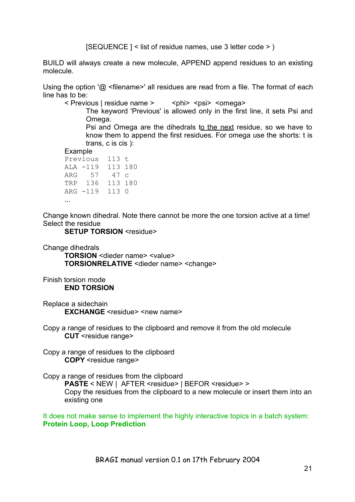[SEQUENCE ] < list of residue names, use 3 letter code > )

BUILD will always create a new molecule, APPEND append residues to an existing molecule.

Using the option '@ <filename>' all residues are read from a file. The format of each line has to be:

< Previous | residue name > < < < < phi> <psi> <omega>

The keyword 'Previous' is allowed only in the first line, it sets Psi and Omega.

Psi and Omega are the dihedrals to the next residue, so we have to know them to append the first residues. For omega use the shorts: t is trans, c is cis ):

Example

| Previous |          | 113 t   |  |
|----------|----------|---------|--|
|          | ALA -119 | 113 180 |  |
|          | ARG 57   | 47 c    |  |
|          | TRP 136  | 113 180 |  |
|          | ARG -119 | 113 0   |  |
|          |          |         |  |

Change known dihedral. Note there cannot be more the one torsion active at a time! Select the residue

**SETUP TORSION** <residue>

Change dihedrals

**TORSION** <dieder name> <value> **TORSIONRELATIVE** <dieder name> <change>

Finish torsion mode **END TORSION**

Replace a sidechain **EXCHANGE** <residue> <new name>

Copy a range of residues to the clipboard and remove it from the old molecule **CUT** <residue range>

Copy a range of residues to the clipboard **COPY** <residue range>

Copy a range of residues from the clipboard

PASTE < NEW | AFTER <residue> | BEFOR <residue> > Copy the residues from the clipboard to a new molecule or insert them into an existing one

It does not make sense to implement the highly interactive topics in a batch system: **Protein Loop, Loop Prediction**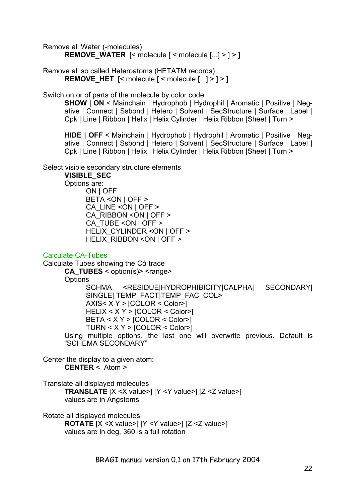Remove all Water (-molecules) **REMOVE\_WATER** [< molecule [ < molecule [...] > ] > ]

Remove all so called Heteroatoms (HETATM records) **REMOVE HET**  $\left[ \leq m \right]$  contained  $\left[ \leq m \right]$  contained  $\left[ \dots \right]$  >  $\left[ \geq m \right]$ 

Switch on or of parts of the molecule by color code

**SHOW | ON** < Mainchain | Hydrophob | Hydrophil | Aromatic | Positive | Negative | Connect | Ssbond | Hetero | Solvent | SecStructure | Surface | Label | Cpk | Line | Ribbon | Helix | Helix Cylinder | Helix Ribbon |Sheet | Turn >

**HIDE | OFF** < Mainchain | Hydrophob | Hydrophil | Aromatic | Positive | Negative | Connect | Ssbond | Hetero | Solvent | SecStructure | Surface | Label | Cpk | Line | Ribbon | Helix | Helix Cylinder | Helix Ribbon |Sheet | Turn >

Select visible secondary structure elements

**VISIBLE\_SEC**

Options are: ON | OFF BETA <ON | OFF > CA\_LINE <ON | OFF > CA\_RIBBON <ON | OFF > CA\_TUBE < ON | OFF > HELIX\_CYLINDER <ON | OFF > HELIX\_RIBBON <ON | OFF >

#### Calculate CA-Tubes

Calculate Tubes showing the Cά trace **CA\_TUBES** < option(s)> <range> **Options** SCHMA <RESIDUE|HYDROPHIBICITY|CALPHA| SECONDARY| SINGLE| TEMP\_FACT|TEMP\_FAC\_COL> AXIS< X Y > [COLOR < Color>] HELIX < X Y > [COLOR < Color>] BETA < X Y > [COLOR < Color>] TURN < X Y > [COLOR < Color>] Using multiple options, the last one will overwrite previous. Default is "SCHEMA SECONDARY"

Center the display to a given atom: **CENTER** < Atom >

Translate all displayed molecules **TRANSLATE**  $[X \leq X \text{ value}]\left[Y \leq Y \text{ value}\right]$   $[Z \leq Z \text{ value}\right]$ values are in Angstoms

Rotate all displayed molecules **ROTATE** [X <X value>] [Y <Y value>] [Z <Z value>] values are in deg, 360 is a full rotation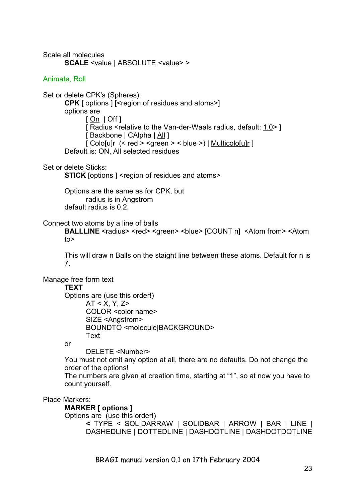Scale all molecules **SCALE** <value | ABSOLUTE <value> >

#### Animate, Roll

Set or delete CPK's (Spheres): **CPK** [ options ] [<region of residues and atoms>] options are  $[On | Off]$ [ Radius <relative to the Van-der-Waals radius, default: 1.0> ] [ Backbone | CAlpha | All ] [ Colo[u]r  $(<$  red > <green > < blue >) | Multicolo[u]r ] Default is: ON, All selected residues

Set or delete Sticks:

**STICK** [options ] <region of residues and atoms>

Options are the same as for CPK, but radius is in Angstrom default radius is 0.2.

#### Connect two atoms by a line of balls

**BALLLINE** <radius> <red> <green> <br/> <br/>shue> [COUNT n] <<<rr/>Atom from> <Atom to>

This will draw n Balls on the staight line between these atoms. Default for n is 7.

Manage free form text

#### **TEXT**

Options are (use this order!) AT < X, Y, Z> COLOR <color name> SIZE <Angstrom> BOUNDTO <molecule|BACKGROUND> Text

or

DELETE <Number>

You must not omit any option at all, there are no defaults. Do not change the order of the options!

The numbers are given at creation time, starting at "1", so at now you have to count yourself.

#### Place Markers:

#### **MARKER [ options ]**

Options are (use this order!)

**<** TYPE < SOLIDARRAW | SOLIDBAR | ARROW | BAR | LINE | DASHEDLINE | DOTTEDLINE | DASHDOTLINE | DASHDOTDOTLINE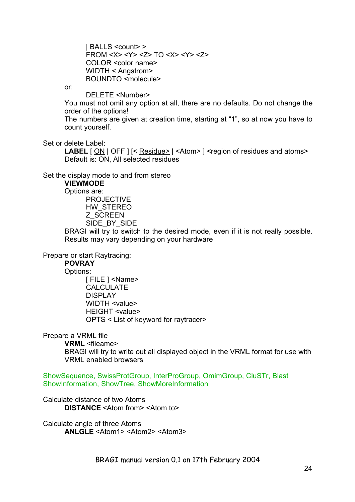| BALLS <count> > FROM <X> <Y> <Z> TO <X> <Y> <Z> COLOR <color name> WIDTH < Angstrom> BOUNDTO <molecule>

or:

DELETE <Number>

You must not omit any option at all, there are no defaults. Do not change the order of the options!

The numbers are given at creation time, starting at "1", so at now you have to count yourself.

Set or delete Label:

LABEL  $[ON]$  OFF  $]$   $\leq$  Residue  $\geq$  |  $\leq$  Atom  $\geq$  ]  $\leq$  region of residues and atoms > Default is: ON, All selected residues

Set the display mode to and from stereo

**VIEWMODE**

Options are:

PROJECTIVE HW\_STEREO Z\_SCREEN SIDE\_BY\_SIDE

BRAGI will try to switch to the desired mode, even if it is not really possible. Results may vary depending on your hardware

Prepare or start Raytracing:

#### **POVRAY**

Options:

[ FILE ] <Name> CALCULATE DISPLAY WIDTH <value> HEIGHT <value> OPTS < List of keyword for raytracer>

Prepare a VRML file

**VRML** <fileame>

BRAGI will try to write out all displayed object in the VRML format for use with VRML enabled browsers

ShowSequence, SwissProtGroup, InterProGroup, OmimGroup, CluSTr, Blast ShowInformation, ShowTree, ShowMoreInformation

Calculate distance of two Atoms **DISTANCE** <Atom from> <Atom to>

Calculate angle of three Atoms **ANLGLE** <Atom1> <Atom2> <Atom3>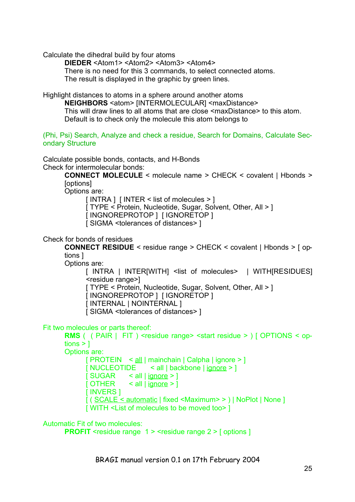Calculate the dihedral build by four atoms

**DIEDER** <Atom1> <Atom2> <Atom3> <Atom4>

There is no need for this 3 commands, to select connected atoms.

The result is displayed in the graphic by green lines.

Highlight distances to atoms in a sphere around another atoms

**NEIGHBORS** <atom> [INTERMOLECULAR] <maxDistance> This will draw lines to all atoms that are close <maxDistance> to this atom. Default is to check only the molecule this atom belongs to

(Phi, Psi) Search, Analyze and check a residue, Search for Domains, Calculate Secondary Structure

Calculate possible bonds, contacts, and H-Bonds Check for intermolecular bonds:

> **CONNECT MOLECULE** < molecule name > CHECK < covalent | Hbonds > [options]

Options are:

 $[$  INTRA  $]$   $[$  INTER  $\le$  list of molecules  $\ge$   $]$ 

[ TYPE < Protein, Nucleotide, Sugar, Solvent, Other, All > 1

[ INGNOREPROTOP ] [ IGNORETOP ]

[ SIGMA <tolerances of distances> ]

Check for bonds of residues

**CONNECT RESIDUE** < residue range > CHECK < covalent | Hbonds > [ options ]

Options are:

[ INTRA | INTER[WITH] <list of molecules> | WITH[RESIDUES] <residue range>]

[ TYPE < Protein, Nucleotide, Sugar, Solvent, Other, All > ] [ INGNOREPROTOP ] [ IGNORETOP ]

[ INTERNAL | NOINTERNAL ]

[ SIGMA <tolerances of distances> ]

Fit two molecules or parts thereof:

**RMS** ( ( PAIR | FIT ) <residue range> <start residue > ) [ OPTIONS < op $tions > 1$ Options are: [ PROTEIN < all | mainchain | Calpha | ignore > ] [ NUCLEOTIDE < all | backbone | ignore > ]  $[SUGAR \leq all | *ignore* > ]$ [ OTHER  $\le$  all | ignore > ] [ INVERS ]

[ ( SCALE < automatic | fixed <Maximum> > ) | NoPlot | None ]

[ WITH <List of molecules to be moved too> ]

Automatic Fit of two molecules:

**PROFIT** <residue range 1 > <residue range 2 > [ options ]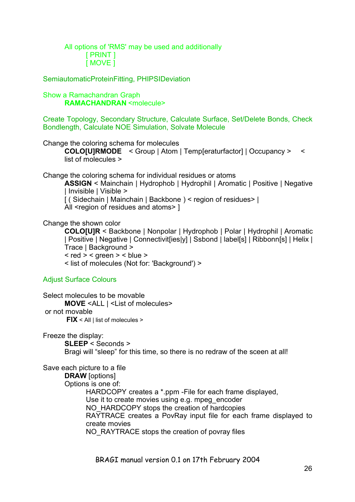All options of 'RMS' may be used and additionally [ PRINT ] [ MOVE ]

SemiautomaticProteinFitting, PHIPSIDeviation

#### Show a Ramachandran Graph **RAMACHANDRAN** <molecule>

Create Topology, Secondary Structure, Calculate Surface, Set/Delete Bonds, Check Bondlength, Calculate NOE Simulation, Solvate Molecule

Change the coloring schema for molecules

**COLO[U]RMODE** < Group | Atom | Temp[eraturfactor] | Occupancy > < list of molecules >

Change the coloring schema for individual residues or atoms

**ASSIGN** < Mainchain | Hydrophob | Hydrophil | Aromatic | Positive | Negative | Invisible | Visible >

[ ( Sidechain | Mainchain | Backbone ) < region of residues> |

All <region of residues and atoms> ]

Change the shown color

**COLO[U]R** < Backbone | Nonpolar | Hydrophob | Polar | Hydrophil | Aromatic | Positive | Negative | Connectivit[ies|y] | Ssbond | label[s] | Ribbonn[s] | Helix | Trace | Background >

 $<$  red  $>$   $<$  green  $>$   $<$  blue  $>$ 

< list of molecules (Not for: 'Background') >

Adjust Surface Colours

Select molecules to be movable **MOVE** <ALL | <List of molecules> or not movable **FIX** < All | list of molecules >

Freeze the display:

**SLEEP** < Seconds > Bragi will "sleep" for this time, so there is no redraw of the sceen at all!

Save each picture to a file

**DRAW** [options] Options is one of: HARDCOPY creates a \*.ppm -File for each frame displayed, Use it to create movies using e.g. mpeg\_encoder NO\_HARDCOPY stops the creation of hardcopies RAYTRACE creates a PovRay input file for each frame displayed to create movies NO\_RAYTRACE stops the creation of povray files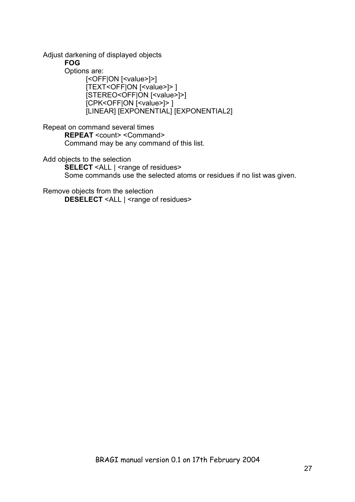Adjust darkening of displayed objects

**FOG**

Options are:

[<OFF|ON [<value>]>] [TEXT<OFF|ON [<value>]> ] [STEREO<OFF|ON [<value>]>] [CPK<OFF|ON [<value>]> ] [LINEAR] [EXPONENTIAL] [EXPONENTIAL2]

Repeat on command several times **REPEAT** <count> <Command> Command may be any command of this list.

Add objects to the selection **SELECT** <ALL | <range of residues> Some commands use the selected atoms or residues if no list was given.

Remove objects from the selection **DESELECT** <ALL | <range of residues>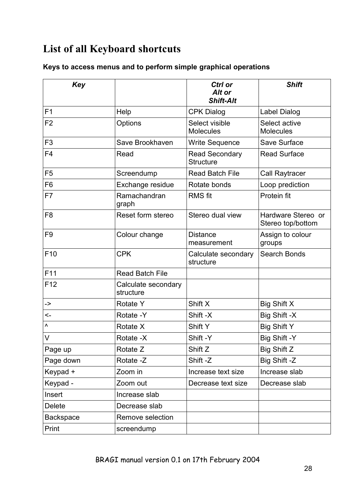# **List of all Keyboard shortcuts**

### **Keys to access menus and to perform simple graphical operations**

| Key              |                                  | Ctrl or<br>Alt or<br><b>Shift-Alt</b>     | <b>Shift</b>                            |
|------------------|----------------------------------|-------------------------------------------|-----------------------------------------|
| F <sub>1</sub>   | Help                             | <b>CPK Dialog</b>                         | Label Dialog                            |
| F <sub>2</sub>   | Options                          | Select visible<br><b>Molecules</b>        | Select active<br><b>Molecules</b>       |
| F <sub>3</sub>   | Save Brookhaven                  | Write Sequence                            | Save Surface                            |
| F <sub>4</sub>   | Read                             | <b>Read Secondary</b><br><b>Structure</b> | <b>Read Surface</b>                     |
| F <sub>5</sub>   | Screendump                       | <b>Read Batch File</b>                    | Call Raytracer                          |
| F <sub>6</sub>   | Exchange residue                 | Rotate bonds                              | Loop prediction                         |
| F7               | Ramachandran<br>graph            | <b>RMS</b> fit                            | Protein fit                             |
| F <sub>8</sub>   | Reset form stereo                | Stereo dual view                          | Hardware Stereo or<br>Stereo top/bottom |
| F <sub>9</sub>   | Colour change                    | <b>Distance</b><br>measurement            | Assign to colour<br>groups              |
| F <sub>10</sub>  | <b>CPK</b>                       | Calculate secondary<br>structure          | Search Bonds                            |
| F11              | <b>Read Batch File</b>           |                                           |                                         |
| F <sub>12</sub>  | Calculate secondary<br>structure |                                           |                                         |
| ->               | <b>Rotate Y</b>                  | Shift X                                   | Big Shift X                             |
| <−               | Rotate -Y                        | Shift -X                                  | Big Shift -X                            |
| Λ                | Rotate X                         | <b>Shift Y</b>                            | <b>Big Shift Y</b>                      |
| V                | Rotate -X                        | Shift -Y                                  | Big Shift -Y                            |
| Page up          | Rotate Z                         | Shift Z                                   | Big Shift Z                             |
| Page down        | Rotate -Z                        | Shift-Z                                   | Big Shift -Z                            |
| Keypad +         | Zoom in                          | Increase text size                        | Increase slab                           |
| Keypad -         | Zoom out                         | Decrease text size                        | Decrease slab                           |
| Insert           | Increase slab                    |                                           |                                         |
| <b>Delete</b>    | Decrease slab                    |                                           |                                         |
| <b>Backspace</b> | Remove selection                 |                                           |                                         |
| Print            | screendump                       |                                           |                                         |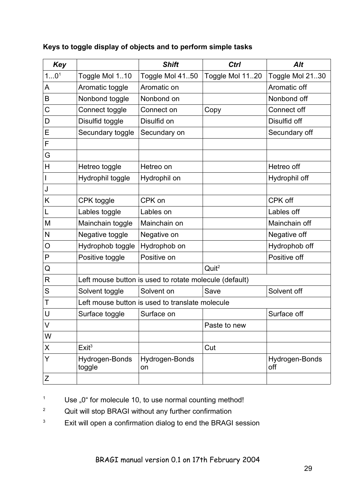| <b>Key</b>       |                                                 | <b>Shift</b>                                           | Ctrl              | <b>Alt</b>            |
|------------------|-------------------------------------------------|--------------------------------------------------------|-------------------|-----------------------|
| 10 <sup>1</sup>  | Toggle Mol 110                                  | Toggle Mol 4150                                        | Toggle Mol 1120   | Toggle Mol 2130       |
| A                | Aromatic toggle                                 | Aromatic on                                            |                   | Aromatic off          |
| B                | Nonbond toggle                                  | Nonbond on                                             |                   | Nonbond off           |
| C                | Connect toggle                                  | Connect on                                             | Copy              | Connect off           |
| D                | Disulfid toggle                                 | Disulfid on                                            |                   | Disulfid off          |
| Е                | Secundary toggle                                | Secundary on                                           |                   | Secundary off         |
| F                |                                                 |                                                        |                   |                       |
| G                |                                                 |                                                        |                   |                       |
| H                | Hetreo toggle                                   | Hetreo on                                              |                   | Hetreo off            |
| I                | Hydrophil toggle                                | Hydrophil on                                           |                   | Hydrophil off         |
| J                |                                                 |                                                        |                   |                       |
| Κ                | CPK toggle                                      | CPK on                                                 |                   | CPK off               |
| L                | Lables toggle                                   | Lables on                                              |                   | Lables off            |
| M                | Mainchain toggle                                | Mainchain on                                           |                   | Mainchain off         |
| N                | Negative toggle                                 | Negative on                                            |                   | Negative off          |
| O                | Hydrophob toggle                                | Hydrophob on                                           |                   | Hydrophob off         |
| P                | Positive toggle                                 | Positive on                                            |                   | Positive off          |
| Q                |                                                 |                                                        | Quit <sup>2</sup> |                       |
| R                |                                                 | Left mouse button is used to rotate molecule (default) |                   |                       |
| S                | Solvent toggle                                  | Solvent on                                             | Save              | Solvent off           |
| Τ                | Left mouse button is used to translate molecule |                                                        |                   |                       |
| U                | Surface toggle                                  | Surface on                                             |                   | Surface off           |
| $\mathsf{V}$     |                                                 |                                                        | Paste to new      |                       |
| W                |                                                 |                                                        |                   |                       |
| X                | Exit <sup>3</sup>                               |                                                        | Cut               |                       |
| Y                | Hydrogen-Bonds<br>toggle                        | Hydrogen-Bonds<br>on                                   |                   | Hydrogen-Bonds<br>off |
| $\boldsymbol{Z}$ |                                                 |                                                        |                   |                       |

### **Keys to toggle display of objects and to perform simple tasks**

 $1$  Use "0" for molecule 10, to use normal counting method!

- <sup>2</sup> Quit will stop BRAGI without any further confirmation
- <sup>3</sup> Exit will open a confirmation dialog to end the BRAGI session